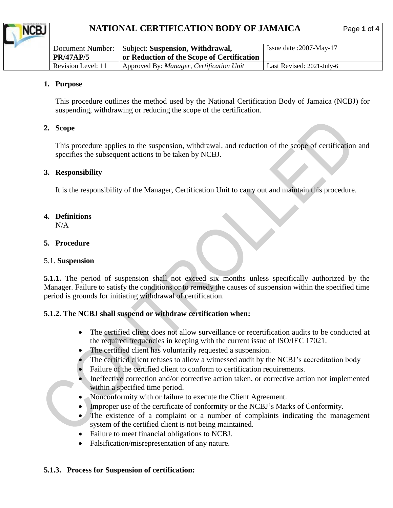# **NATIONAL CERTIFICATION BODY OF JAMAICA** Page 1 of

|                    | Document Number:   Subject: Suspension, Withdrawal, | Issue date :2007-May-17   |
|--------------------|-----------------------------------------------------|---------------------------|
| <b>PR/47AP/5</b>   | or Reduction of the Scope of Certification          |                           |
| Revision Level: 11 | Approved By: Manager, Certification Unit            | Last Revised: 2021-July-6 |

#### **1. Purpose**

This procedure outlines the method used by the National Certification Body of Jamaica (NCBJ) for suspending, withdrawing or reducing the scope of the certification.

#### **2. Scope**

This procedure applies to the suspension, withdrawal, and reduction of the scope of certification and specifies the subsequent actions to be taken by NCBJ.

#### **3. Responsibility**

It is the responsibility of the Manager, Certification Unit to carry out and maintain this procedure.

# **4. Definitions**

N/A

### **5. Procedure**

### 5.1. **Suspension**

**5.1.1.** The period of suspension shall not exceed six months unless specifically authorized by the Manager. Failure to satisfy the conditions or to remedy the causes of suspension within the specified time period is grounds for initiating withdrawal of certification.

### **5.1.2**. **The NCBJ shall suspend or withdraw certification when:**

- The certified client does not allow surveillance or recertification audits to be conducted at the required frequencies in keeping with the current issue of ISO/IEC 17021.
- The certified client has voluntarily requested a suspension.
- The certified client refuses to allow a witnessed audit by the NCBJ's accreditation body
- Failure of the certified client to conform to certification requirements.
- Ineffective correction and/or corrective action taken, or corrective action not implemented within a specified time period.
- Nonconformity with or failure to execute the Client Agreement.
- Improper use of the certificate of conformity or the NCBJ's Marks of Conformity.
- The existence of a complaint or a number of complaints indicating the management system of the certified client is not being maintained.
- Failure to meet financial obligations to NCBJ.
- Falsification/misrepresentation of any nature.

### **5.1.3. Process for Suspension of certification:**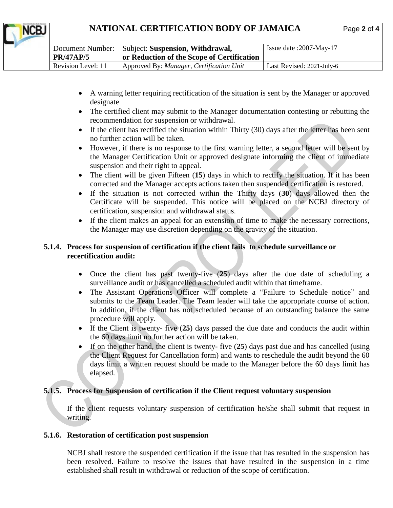# **NATIONAL CERTIFICATION BODY OF JAMAICA** Page **2** of **4**

NCB.

|                    | Document Number:   Subject: Suspension, Withdrawal, | Issue date: $2007$ -May-17 |
|--------------------|-----------------------------------------------------|----------------------------|
| <b>PR/47AP/5</b>   | or Reduction of the Scope of Certification          |                            |
| Revision Level: 11 | Approved By: Manager, Certification Unit            | Last Revised: 2021-July-6  |
|                    |                                                     |                            |

- A warning letter requiring rectification of the situation is sent by the Manager or approved designate
- The certified client may submit to the Manager documentation contesting or rebutting the recommendation for suspension or withdrawal.
- If the client has rectified the situation within Thirty (30) days after the letter has been sent no further action will be taken.
- However, if there is no response to the first warning letter, a second letter will be sent by the Manager Certification Unit or approved designate informing the client of immediate suspension and their right to appeal.
- The client will be given Fifteen (**15**) days in which to rectify the situation. If it has been corrected and the Manager accepts actions taken then suspended certification is restored.
- If the situation is not corrected within the Thirty days (**30**) days allowed then the Certificate will be suspended. This notice will be placed on the NCBJ directory of certification, suspension and withdrawal status.
- If the client makes an appeal for an extension of time to make the necessary corrections, the Manager may use discretion depending on the gravity of the situation.

## **5.1.4. Process for suspension of certification if the client fails to schedule surveillance or recertification audit:**

- Once the client has past twenty-five (**25**) days after the due date of scheduling a surveillance audit or has cancelled a scheduled audit within that timeframe.
- The Assistant Operations Officer will complete a "Failure to Schedule notice" and submits to the Team Leader. The Team leader will take the appropriate course of action. In addition, if the client has not scheduled because of an outstanding balance the same procedure will apply.
- If the Client is twenty- five (**25**) days passed the due date and conducts the audit within the 60 days limit no further action will be taken.
- If on the other hand, the client is twenty- five (**25**) days past due and has cancelled (using the Client Request for Cancellation form) and wants to reschedule the audit beyond the 60 days limit a written request should be made to the Manager before the 60 days limit has elapsed.

## **5.1.5. Process for Suspension of certification if the Client request voluntary suspension**

If the client requests voluntary suspension of certification he/she shall submit that request in writing.

### **5.1.6. Restoration of certification post suspension**

NCBJ shall restore the suspended certification if the issue that has resulted in the suspension has been resolved. Failure to resolve the issues that have resulted in the suspension in a time established shall result in withdrawal or reduction of the scope of certification.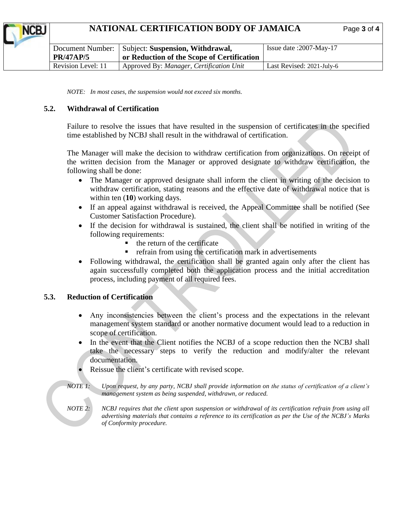# **NATIONAL CERTIFICATION BODY OF JAMAICA** Page **3** of **4**

| <b>PR/47AP/5</b>   | Document Number:   Subject: Suspension, Withdrawal,<br>or Reduction of the Scope of Certification | Issue date :2007-May-17   |
|--------------------|---------------------------------------------------------------------------------------------------|---------------------------|
| Revision Level: 11 | Approved By: Manager, Certification Unit                                                          | Last Revised: 2021-July-6 |

*NOTE: In most cases, the suspension would not exceed six months.*

### **5.2. Withdrawal of Certification**

Failure to resolve the issues that have resulted in the suspension of certificates in the specified time established by NCBJ shall result in the withdrawal of certification.

The Manager will make the decision to withdraw certification from organizations. On receipt of the written decision from the Manager or approved designate to withdraw certification, the following shall be done:

- The Manager or approved designate shall inform the client in writing of the decision to withdraw certification, stating reasons and the effective date of withdrawal notice that is within ten (**10**) working days.
- If an appeal against withdrawal is received, the Appeal Committee shall be notified (See Customer Satisfaction Procedure).
- If the decision for withdrawal is sustained, the client shall be notified in writing of the following requirements:
	- the return of the certificate
	- refrain from using the certification mark in advertisements
- Following withdrawal, the certification shall be granted again only after the client has again successfully completed both the application process and the initial accreditation process, including payment of all required fees.

#### **5.3. Reduction of Certification**

- Any inconsistencies between the client's process and the expectations in the relevant management system standard or another normative document would lead to a reduction in scope of certification.
- In the event that the Client notifies the NCBJ of a scope reduction then the NCBJ shall take the necessary steps to verify the reduction and modify/alter the relevant documentation.
- Reissue the client's certificate with revised scope.
- *NOTE 1: Upon request, by any party, NCBJ shall provide information on the status of certification of a client's management system as being suspended, withdrawn, or reduced.*
- *NOTE 2: NCBJ requires that the client upon suspension or withdrawal of its certification refrain from using all advertising materials that contains a reference to its certification as per the Use of the NCBJ's Marks of Conformity procedure.*